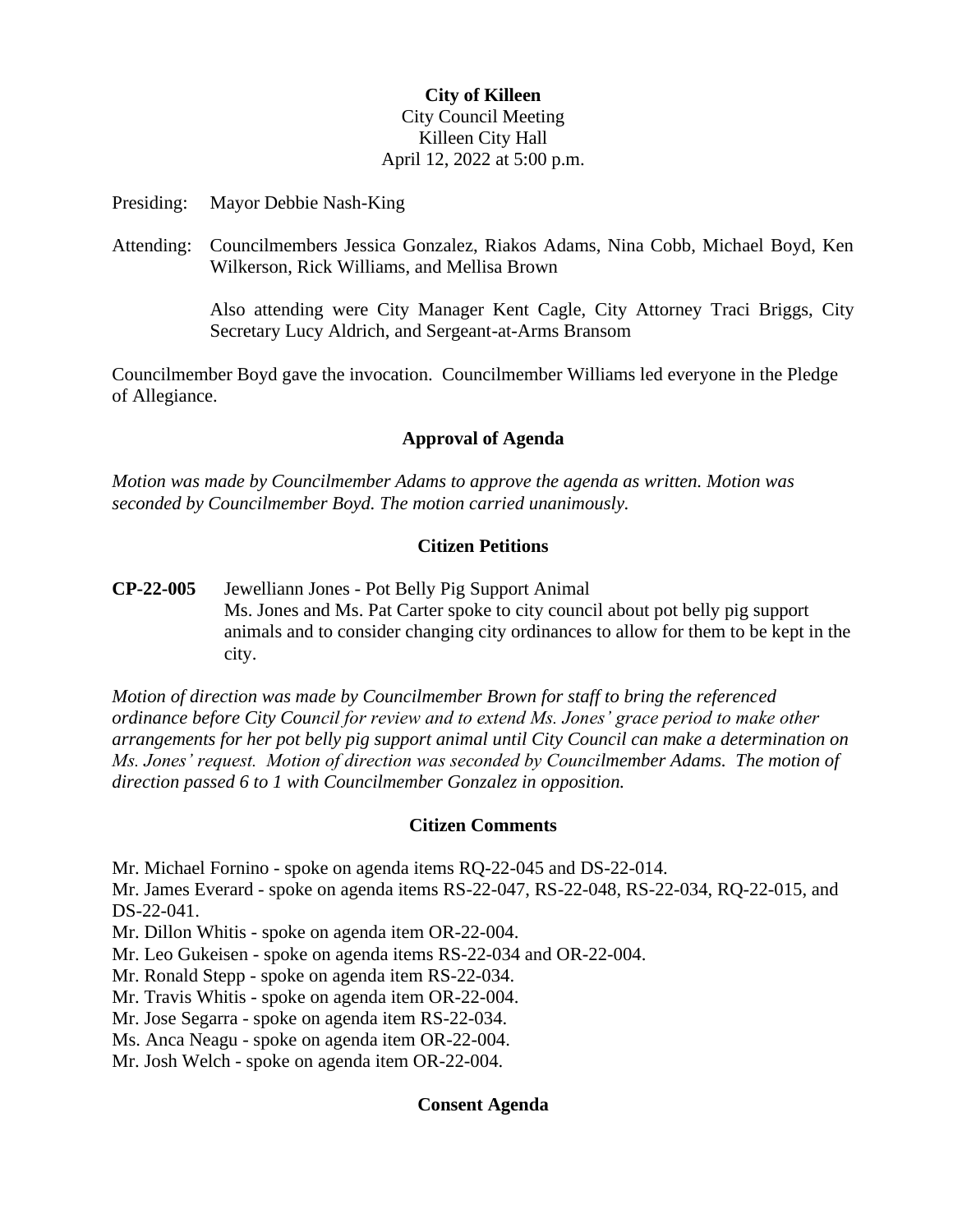# **City of Killeen** City Council Meeting Killeen City Hall April 12, 2022 at 5:00 p.m.

Presiding: Mayor Debbie Nash-King

Attending: Councilmembers Jessica Gonzalez, Riakos Adams, Nina Cobb, Michael Boyd, Ken Wilkerson, Rick Williams, and Mellisa Brown

> Also attending were City Manager Kent Cagle, City Attorney Traci Briggs, City Secretary Lucy Aldrich, and Sergeant-at-Arms Bransom

Councilmember Boyd gave the invocation. Councilmember Williams led everyone in the Pledge of Allegiance.

## **Approval of Agenda**

*Motion was made by Councilmember Adams to approve the agenda as written. Motion was seconded by Councilmember Boyd. The motion carried unanimously.*

## **Citizen Petitions**

**CP-22-005** Jewelliann Jones - Pot Belly Pig Support Animal Ms. Jones and Ms. Pat Carter spoke to city council about pot belly pig support animals and to consider changing city ordinances to allow for them to be kept in the city.

*Motion of direction was made by Councilmember Brown for staff to bring the referenced ordinance before City Council for review and to extend Ms. Jones' grace period to make other arrangements for her pot belly pig support animal until City Council can make a determination on Ms. Jones' request. Motion of direction was seconded by Councilmember Adams. The motion of direction passed 6 to 1 with Councilmember Gonzalez in opposition.*

#### **Citizen Comments**

Mr. Michael Fornino - spoke on agenda items RQ-22-045 and DS-22-014.

Mr. James Everard - spoke on agenda items RS-22-047, RS-22-048, RS-22-034, RQ-22-015, and DS-22-041.

Mr. Dillon Whitis - spoke on agenda item OR-22-004.

Mr. Leo Gukeisen - spoke on agenda items RS-22-034 and OR-22-004.

Mr. Ronald Stepp - spoke on agenda item RS-22-034.

Mr. Travis Whitis - spoke on agenda item OR-22-004.

Mr. Jose Segarra - spoke on agenda item RS-22-034.

Ms. Anca Neagu - spoke on agenda item OR-22-004.

Mr. Josh Welch - spoke on agenda item OR-22-004.

### **Consent Agenda**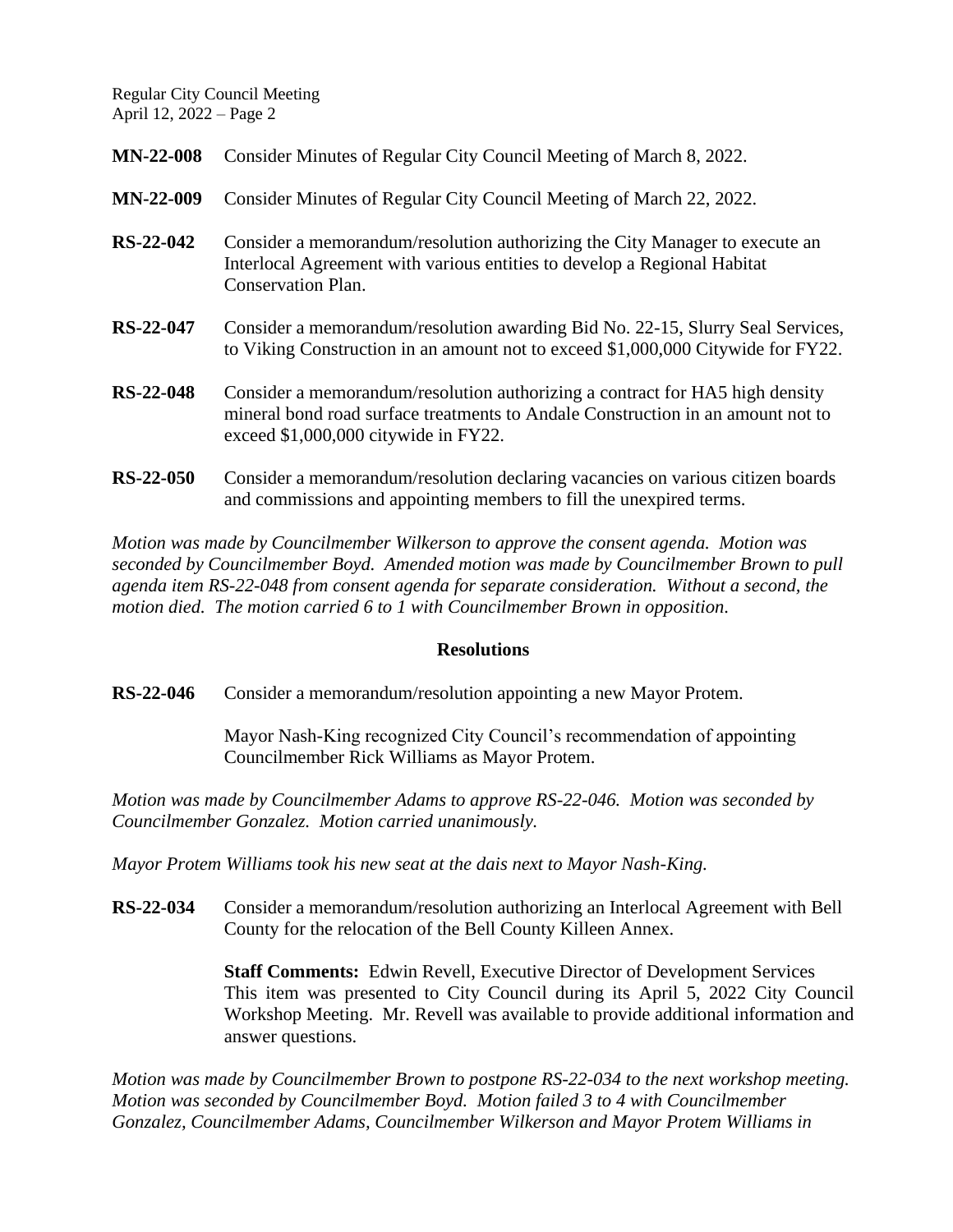| <b>MN-22-008</b> | Consider Minutes of Regular City Council Meeting of March 8, 2022.                                                                                                                                       |
|------------------|----------------------------------------------------------------------------------------------------------------------------------------------------------------------------------------------------------|
| <b>MN-22-009</b> | Consider Minutes of Regular City Council Meeting of March 22, 2022.                                                                                                                                      |
| RS-22-042        | Consider a memorandum/resolution authorizing the City Manager to execute an<br>Interlocal Agreement with various entities to develop a Regional Habitat<br><b>Conservation Plan.</b>                     |
| RS-22-047        | Consider a memorandum/resolution awarding Bid No. 22-15, Slurry Seal Services,<br>to Viking Construction in an amount not to exceed \$1,000,000 Citywide for FY22.                                       |
| <b>RS-22-048</b> | Consider a memorandum/resolution authorizing a contract for HA5 high density<br>mineral bond road surface treatments to Andale Construction in an amount not to<br>exceed $$1,000,000$ citywide in FY22. |
| $RS-22-050$      | Consider a memorandum/resolution declaring vacancies on various citizen boards<br>and commissions and appointing members to fill the unexpired terms.                                                    |

*Motion was made by Councilmember Wilkerson to approve the consent agenda. Motion was seconded by Councilmember Boyd. Amended motion was made by Councilmember Brown to pull agenda item RS-22-048 from consent agenda for separate consideration. Without a second, the motion died. The motion carried 6 to 1 with Councilmember Brown in opposition.*

### **Resolutions**

**RS-22-046** Consider a memorandum/resolution appointing a new Mayor Protem.

Mayor Nash-King recognized City Council's recommendation of appointing Councilmember Rick Williams as Mayor Protem.

*Motion was made by Councilmember Adams to approve RS-22-046. Motion was seconded by Councilmember Gonzalez. Motion carried unanimously.*

*Mayor Protem Williams took his new seat at the dais next to Mayor Nash-King.* 

**RS-22-034** Consider a memorandum/resolution authorizing an Interlocal Agreement with Bell County for the relocation of the Bell County Killeen Annex.

> **Staff Comments:** Edwin Revell, Executive Director of Development Services This item was presented to City Council during its April 5, 2022 City Council Workshop Meeting. Mr. Revell was available to provide additional information and answer questions.

*Motion was made by Councilmember Brown to postpone RS-22-034 to the next workshop meeting. Motion was seconded by Councilmember Boyd. Motion failed 3 to 4 with Councilmember Gonzalez, Councilmember Adams, Councilmember Wilkerson and Mayor Protem Williams in*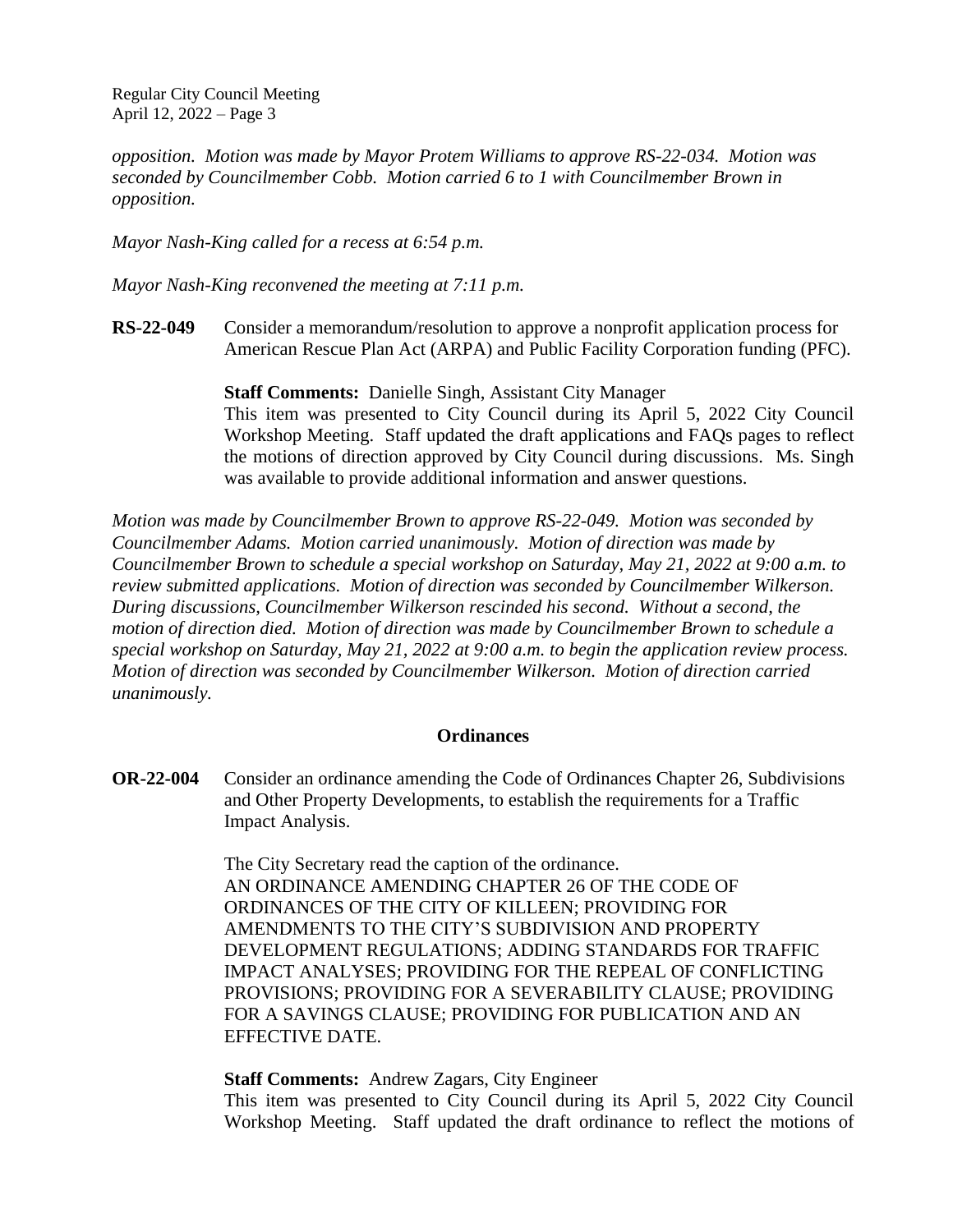*opposition. Motion was made by Mayor Protem Williams to approve RS-22-034. Motion was seconded by Councilmember Cobb. Motion carried 6 to 1 with Councilmember Brown in opposition.*

*Mayor Nash-King called for a recess at 6:54 p.m.*

*Mayor Nash-King reconvened the meeting at 7:11 p.m.*

**RS-22-049** Consider a memorandum/resolution to approve a nonprofit application process for American Rescue Plan Act (ARPA) and Public Facility Corporation funding (PFC).

> **Staff Comments:** Danielle Singh, Assistant City Manager This item was presented to City Council during its April 5, 2022 City Council Workshop Meeting. Staff updated the draft applications and FAQs pages to reflect the motions of direction approved by City Council during discussions. Ms. Singh was available to provide additional information and answer questions.

*Motion was made by Councilmember Brown to approve RS-22-049. Motion was seconded by Councilmember Adams. Motion carried unanimously. Motion of direction was made by Councilmember Brown to schedule a special workshop on Saturday, May 21, 2022 at 9:00 a.m. to review submitted applications. Motion of direction was seconded by Councilmember Wilkerson. During discussions, Councilmember Wilkerson rescinded his second. Without a second, the motion of direction died. Motion of direction was made by Councilmember Brown to schedule a special workshop on Saturday, May 21, 2022 at 9:00 a.m. to begin the application review process. Motion of direction was seconded by Councilmember Wilkerson. Motion of direction carried unanimously.*

#### **Ordinances**

**OR-22-004** Consider an ordinance amending the Code of Ordinances Chapter 26, Subdivisions and Other Property Developments, to establish the requirements for a Traffic Impact Analysis.

> The City Secretary read the caption of the ordinance. AN ORDINANCE AMENDING CHAPTER 26 OF THE CODE OF ORDINANCES OF THE CITY OF KILLEEN; PROVIDING FOR AMENDMENTS TO THE CITY'S SUBDIVISION AND PROPERTY DEVELOPMENT REGULATIONS; ADDING STANDARDS FOR TRAFFIC IMPACT ANALYSES; PROVIDING FOR THE REPEAL OF CONFLICTING PROVISIONS; PROVIDING FOR A SEVERABILITY CLAUSE; PROVIDING FOR A SAVINGS CLAUSE; PROVIDING FOR PUBLICATION AND AN EFFECTIVE DATE.

#### **Staff Comments:** Andrew Zagars, City Engineer

This item was presented to City Council during its April 5, 2022 City Council Workshop Meeting. Staff updated the draft ordinance to reflect the motions of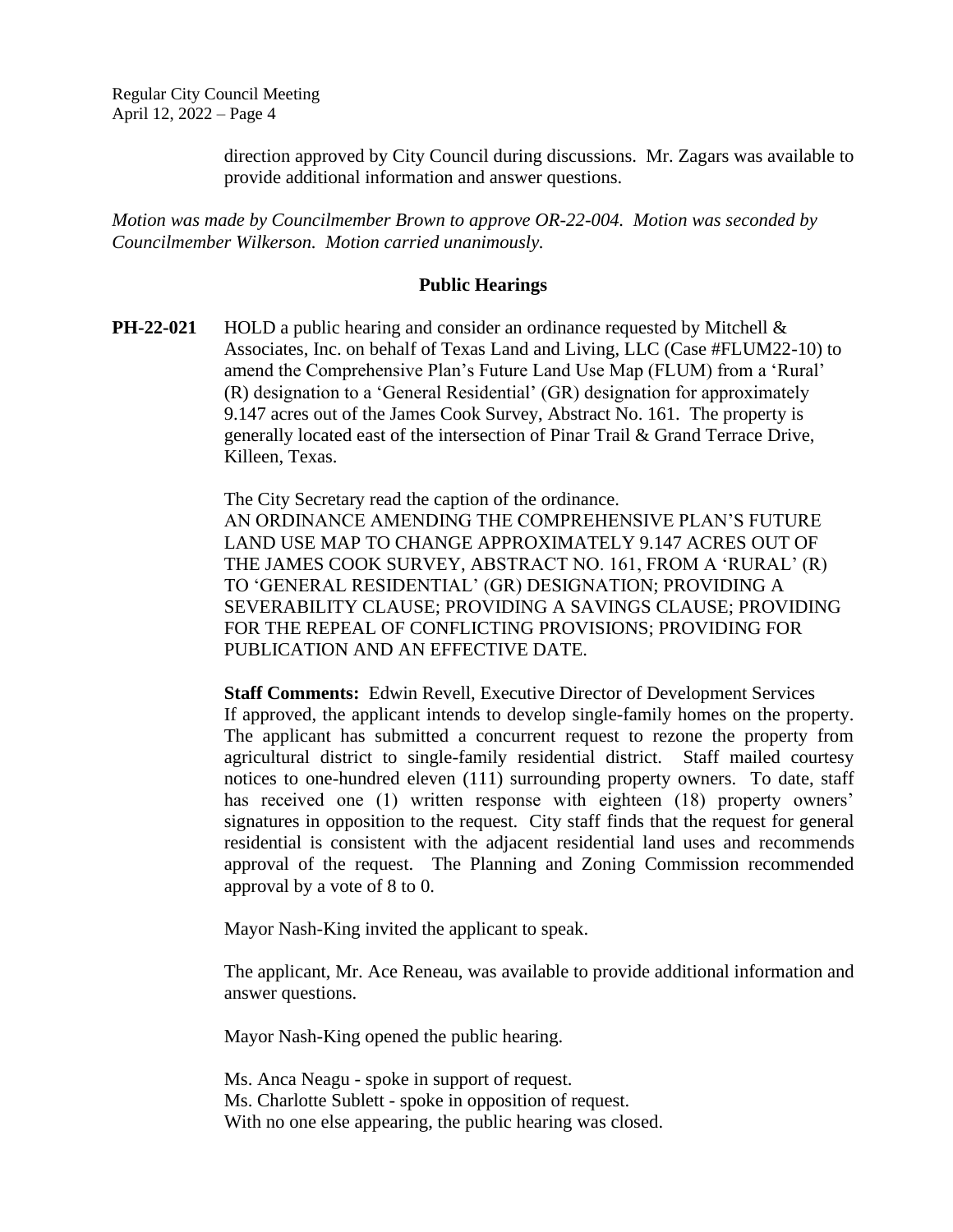direction approved by City Council during discussions. Mr. Zagars was available to provide additional information and answer questions.

*Motion was made by Councilmember Brown to approve OR-22-004. Motion was seconded by Councilmember Wilkerson. Motion carried unanimously.*

#### **Public Hearings**

**PH-22-021** HOLD a public hearing and consider an ordinance requested by Mitchell & Associates, Inc. on behalf of Texas Land and Living, LLC (Case #FLUM22-10) to amend the Comprehensive Plan's Future Land Use Map (FLUM) from a 'Rural' (R) designation to a 'General Residential' (GR) designation for approximately 9.147 acres out of the James Cook Survey, Abstract No. 161. The property is generally located east of the intersection of Pinar Trail & Grand Terrace Drive, Killeen, Texas.

> The City Secretary read the caption of the ordinance. AN ORDINANCE AMENDING THE COMPREHENSIVE PLAN'S FUTURE LAND USE MAP TO CHANGE APPROXIMATELY 9.147 ACRES OUT OF THE JAMES COOK SURVEY, ABSTRACT NO. 161, FROM A 'RURAL' (R) TO 'GENERAL RESIDENTIAL' (GR) DESIGNATION; PROVIDING A SEVERABILITY CLAUSE; PROVIDING A SAVINGS CLAUSE; PROVIDING FOR THE REPEAL OF CONFLICTING PROVISIONS; PROVIDING FOR PUBLICATION AND AN EFFECTIVE DATE.

**Staff Comments:** Edwin Revell, Executive Director of Development Services If approved, the applicant intends to develop single-family homes on the property. The applicant has submitted a concurrent request to rezone the property from agricultural district to single-family residential district. Staff mailed courtesy notices to one-hundred eleven (111) surrounding property owners. To date, staff has received one (1) written response with eighteen (18) property owners' signatures in opposition to the request. City staff finds that the request for general residential is consistent with the adjacent residential land uses and recommends approval of the request. The Planning and Zoning Commission recommended approval by a vote of 8 to 0.

Mayor Nash-King invited the applicant to speak.

The applicant, Mr. Ace Reneau, was available to provide additional information and answer questions.

Mayor Nash-King opened the public hearing.

Ms. Anca Neagu - spoke in support of request. Ms. Charlotte Sublett - spoke in opposition of request. With no one else appearing, the public hearing was closed.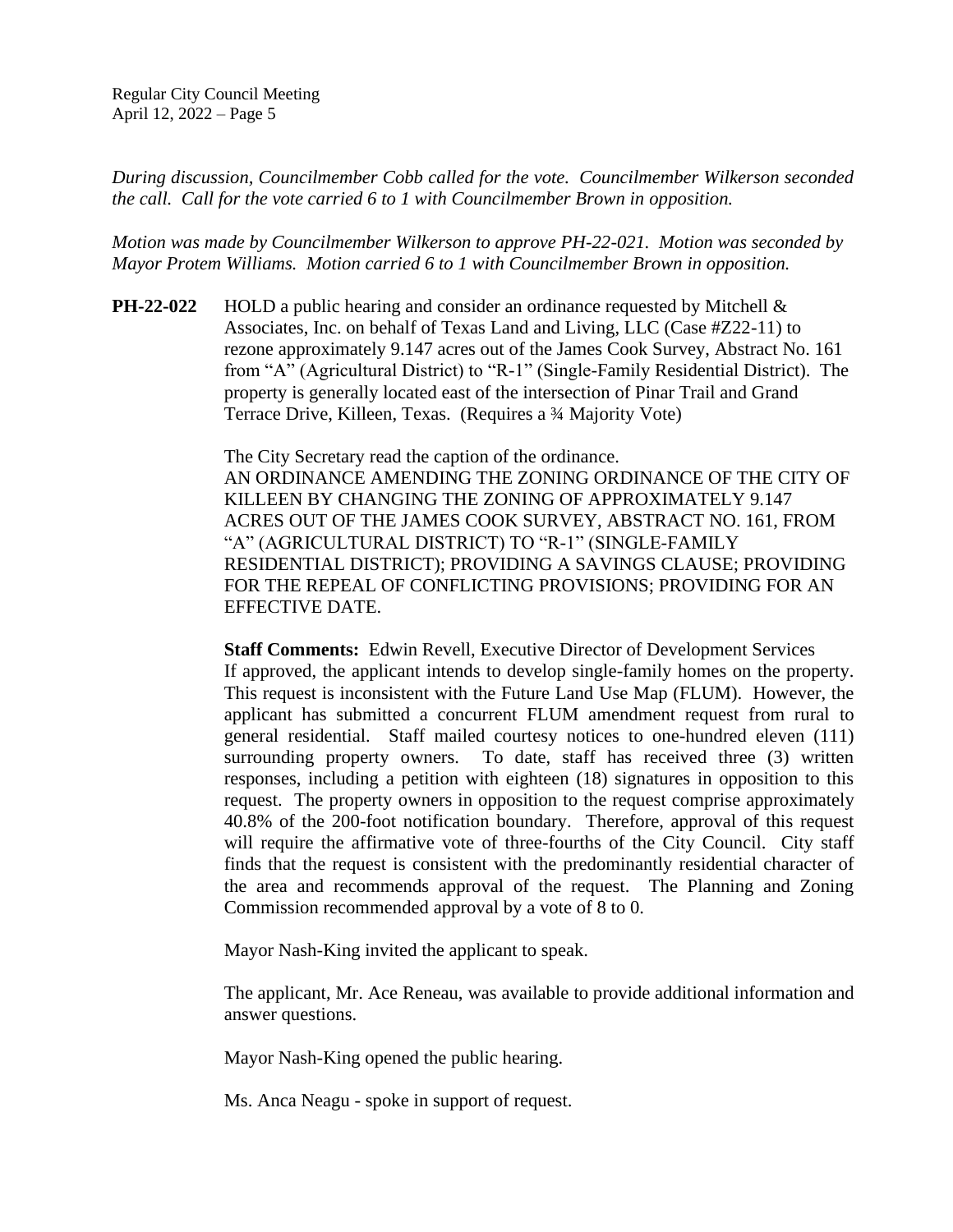*During discussion, Councilmember Cobb called for the vote. Councilmember Wilkerson seconded the call. Call for the vote carried 6 to 1 with Councilmember Brown in opposition.*

*Motion was made by Councilmember Wilkerson to approve PH-22-021. Motion was seconded by Mayor Protem Williams. Motion carried 6 to 1 with Councilmember Brown in opposition.*

**PH-22-022** HOLD a public hearing and consider an ordinance requested by Mitchell & Associates, Inc. on behalf of Texas Land and Living, LLC (Case #Z22-11) to rezone approximately 9.147 acres out of the James Cook Survey, Abstract No. 161 from "A" (Agricultural District) to "R-1" (Single-Family Residential District). The property is generally located east of the intersection of Pinar Trail and Grand Terrace Drive, Killeen, Texas. (Requires a ¾ Majority Vote)

> The City Secretary read the caption of the ordinance. AN ORDINANCE AMENDING THE ZONING ORDINANCE OF THE CITY OF KILLEEN BY CHANGING THE ZONING OF APPROXIMATELY 9.147 ACRES OUT OF THE JAMES COOK SURVEY, ABSTRACT NO. 161, FROM "A" (AGRICULTURAL DISTRICT) TO "R-1" (SINGLE-FAMILY RESIDENTIAL DISTRICT); PROVIDING A SAVINGS CLAUSE; PROVIDING FOR THE REPEAL OF CONFLICTING PROVISIONS; PROVIDING FOR AN EFFECTIVE DATE.

> **Staff Comments:** Edwin Revell, Executive Director of Development Services If approved, the applicant intends to develop single-family homes on the property. This request is inconsistent with the Future Land Use Map (FLUM). However, the applicant has submitted a concurrent FLUM amendment request from rural to general residential. Staff mailed courtesy notices to one-hundred eleven (111) surrounding property owners. To date, staff has received three (3) written responses, including a petition with eighteen (18) signatures in opposition to this request. The property owners in opposition to the request comprise approximately 40.8% of the 200-foot notification boundary. Therefore, approval of this request will require the affirmative vote of three-fourths of the City Council. City staff finds that the request is consistent with the predominantly residential character of the area and recommends approval of the request. The Planning and Zoning Commission recommended approval by a vote of 8 to 0.

Mayor Nash-King invited the applicant to speak.

The applicant, Mr. Ace Reneau, was available to provide additional information and answer questions.

Mayor Nash-King opened the public hearing.

Ms. Anca Neagu - spoke in support of request.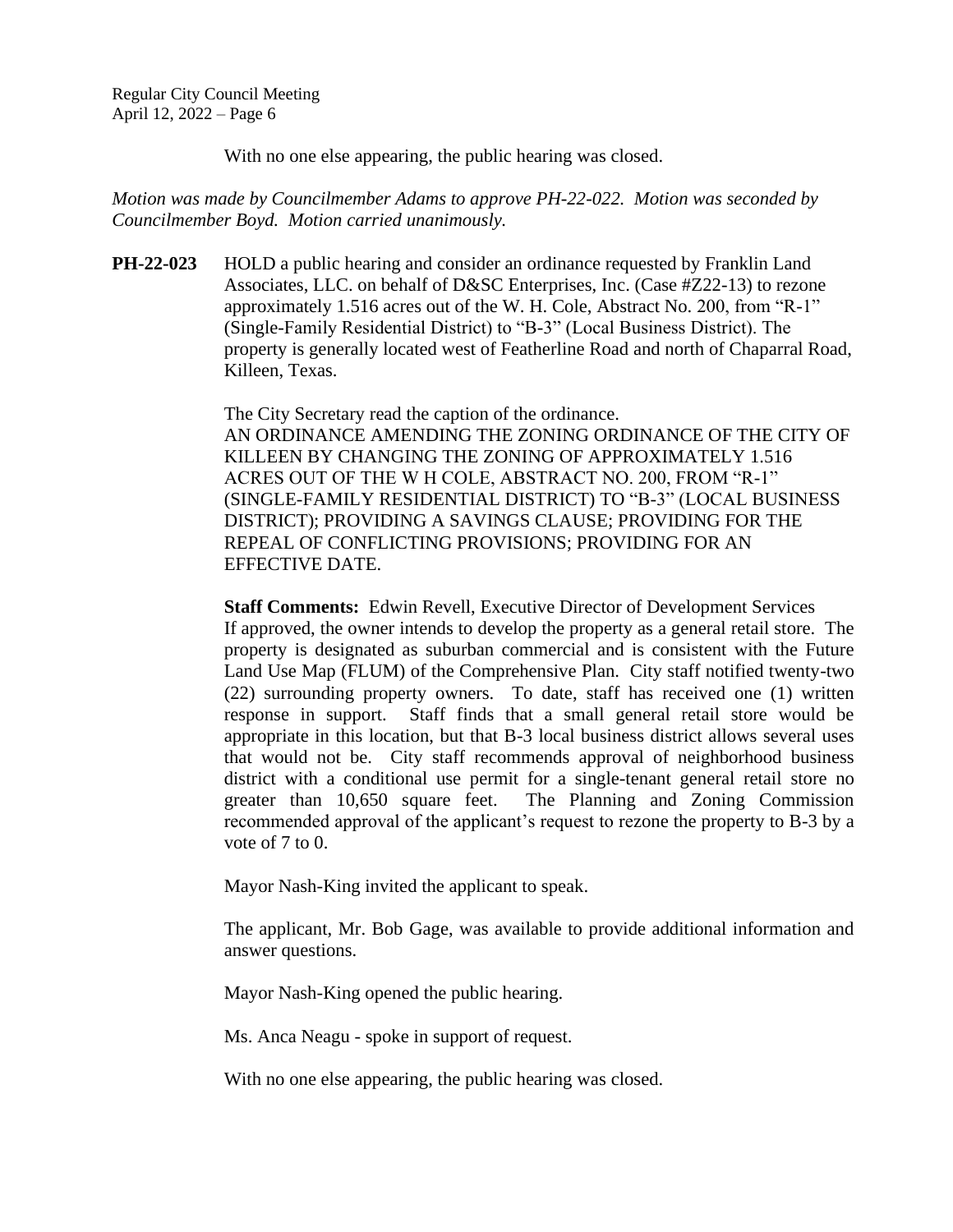With no one else appearing, the public hearing was closed.

*Motion was made by Councilmember Adams to approve PH-22-022. Motion was seconded by Councilmember Boyd. Motion carried unanimously.*

**PH-22-023** HOLD a public hearing and consider an ordinance requested by Franklin Land Associates, LLC. on behalf of D&SC Enterprises, Inc. (Case #Z22-13) to rezone approximately 1.516 acres out of the W. H. Cole, Abstract No. 200, from "R-1" (Single-Family Residential District) to "B-3" (Local Business District). The property is generally located west of Featherline Road and north of Chaparral Road, Killeen, Texas.

> The City Secretary read the caption of the ordinance. AN ORDINANCE AMENDING THE ZONING ORDINANCE OF THE CITY OF KILLEEN BY CHANGING THE ZONING OF APPROXIMATELY 1.516 ACRES OUT OF THE W H COLE, ABSTRACT NO. 200, FROM "R-1" (SINGLE-FAMILY RESIDENTIAL DISTRICT) TO "B-3" (LOCAL BUSINESS DISTRICT); PROVIDING A SAVINGS CLAUSE; PROVIDING FOR THE REPEAL OF CONFLICTING PROVISIONS; PROVIDING FOR AN EFFECTIVE DATE.

> **Staff Comments:** Edwin Revell, Executive Director of Development Services If approved, the owner intends to develop the property as a general retail store. The property is designated as suburban commercial and is consistent with the Future Land Use Map (FLUM) of the Comprehensive Plan. City staff notified twenty-two (22) surrounding property owners. To date, staff has received one (1) written response in support. Staff finds that a small general retail store would be appropriate in this location, but that B-3 local business district allows several uses that would not be. City staff recommends approval of neighborhood business district with a conditional use permit for a single-tenant general retail store no greater than 10,650 square feet. The Planning and Zoning Commission recommended approval of the applicant's request to rezone the property to B-3 by a vote of 7 to 0.

Mayor Nash-King invited the applicant to speak.

The applicant, Mr. Bob Gage, was available to provide additional information and answer questions.

Mayor Nash-King opened the public hearing.

Ms. Anca Neagu - spoke in support of request.

With no one else appearing, the public hearing was closed.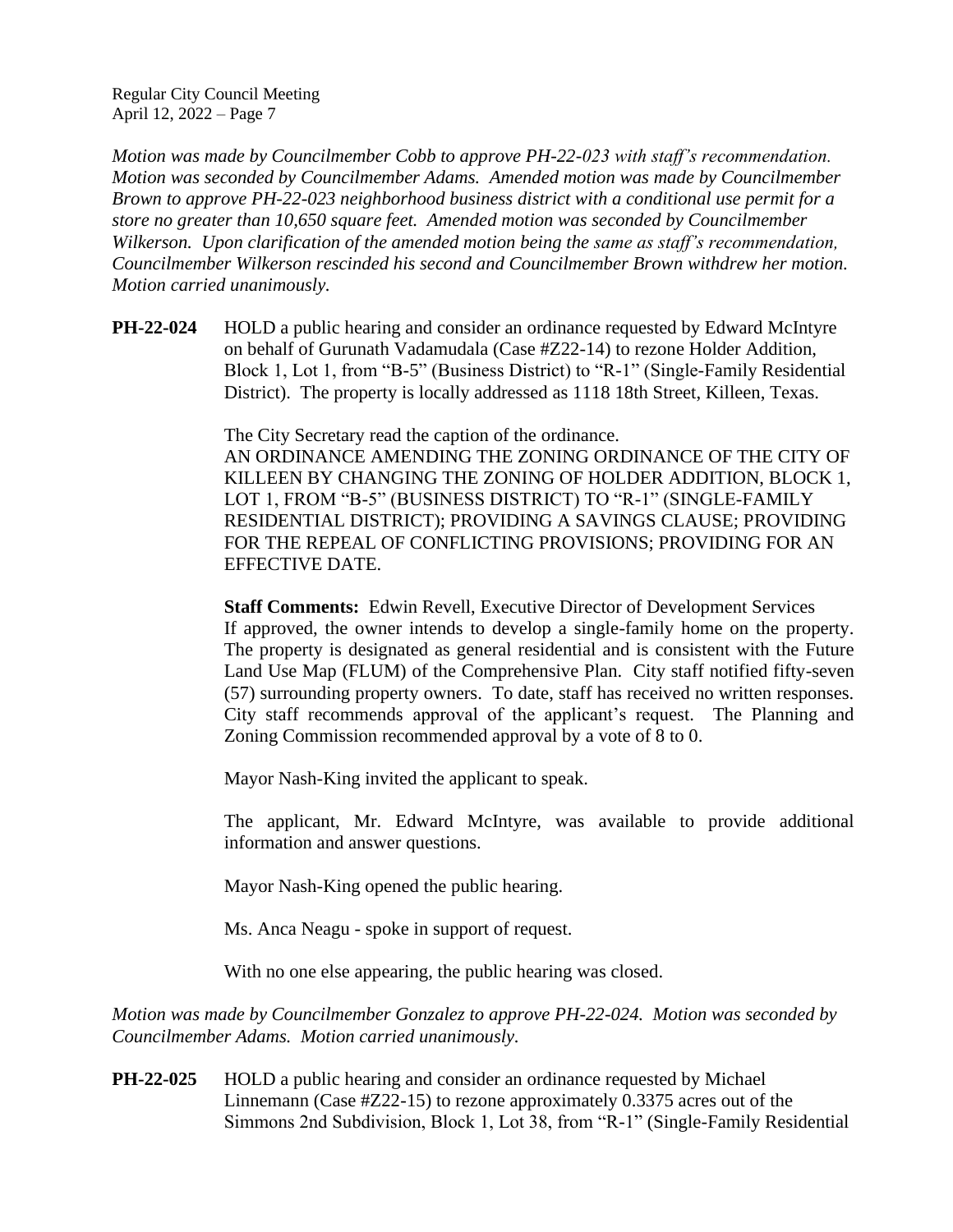*Motion was made by Councilmember Cobb to approve PH-22-023 with staff's recommendation. Motion was seconded by Councilmember Adams. Amended motion was made by Councilmember Brown to approve PH-22-023 neighborhood business district with a conditional use permit for a store no greater than 10,650 square feet. Amended motion was seconded by Councilmember Wilkerson. Upon clarification of the amended motion being the same as staff's recommendation, Councilmember Wilkerson rescinded his second and Councilmember Brown withdrew her motion. Motion carried unanimously.*

**PH-22-024** HOLD a public hearing and consider an ordinance requested by Edward McIntyre on behalf of Gurunath Vadamudala (Case #Z22-14) to rezone Holder Addition, Block 1, Lot 1, from "B-5" (Business District) to "R-1" (Single-Family Residential District). The property is locally addressed as 1118 18th Street, Killeen, Texas.

> The City Secretary read the caption of the ordinance. AN ORDINANCE AMENDING THE ZONING ORDINANCE OF THE CITY OF KILLEEN BY CHANGING THE ZONING OF HOLDER ADDITION, BLOCK 1, LOT 1, FROM "B-5" (BUSINESS DISTRICT) TO "R-1" (SINGLE-FAMILY RESIDENTIAL DISTRICT); PROVIDING A SAVINGS CLAUSE; PROVIDING FOR THE REPEAL OF CONFLICTING PROVISIONS; PROVIDING FOR AN EFFECTIVE DATE.

> **Staff Comments:** Edwin Revell, Executive Director of Development Services If approved, the owner intends to develop a single-family home on the property. The property is designated as general residential and is consistent with the Future Land Use Map (FLUM) of the Comprehensive Plan. City staff notified fifty-seven (57) surrounding property owners. To date, staff has received no written responses. City staff recommends approval of the applicant's request. The Planning and Zoning Commission recommended approval by a vote of 8 to 0.

Mayor Nash-King invited the applicant to speak.

The applicant, Mr. Edward McIntyre, was available to provide additional information and answer questions.

Mayor Nash-King opened the public hearing.

Ms. Anca Neagu - spoke in support of request.

With no one else appearing, the public hearing was closed.

*Motion was made by Councilmember Gonzalez to approve PH-22-024. Motion was seconded by Councilmember Adams. Motion carried unanimously.*

**PH-22-025** HOLD a public hearing and consider an ordinance requested by Michael Linnemann (Case #Z22-15) to rezone approximately 0.3375 acres out of the Simmons 2nd Subdivision, Block 1, Lot 38, from "R-1" (Single-Family Residential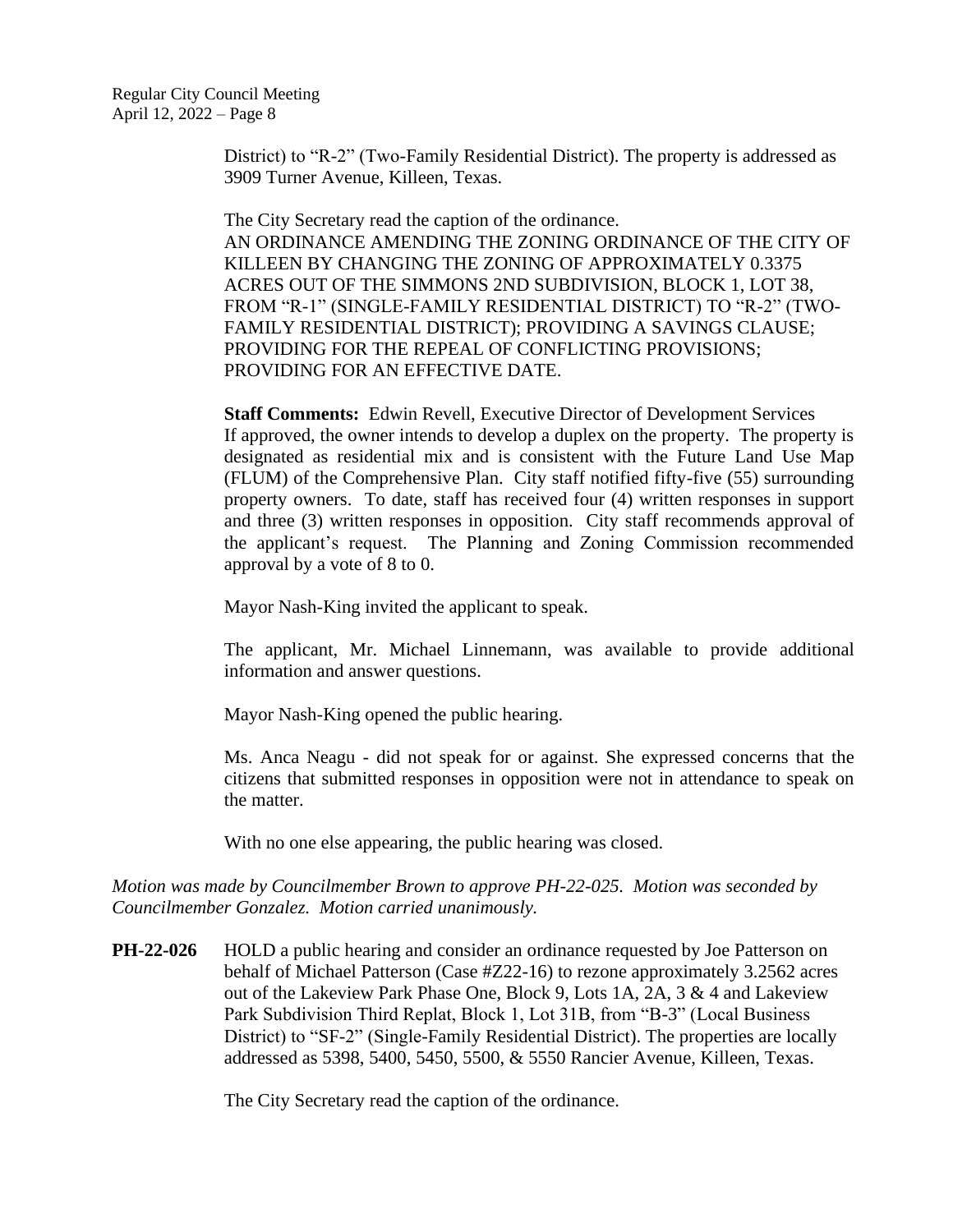District) to "R-2" (Two-Family Residential District). The property is addressed as 3909 Turner Avenue, Killeen, Texas.

The City Secretary read the caption of the ordinance. AN ORDINANCE AMENDING THE ZONING ORDINANCE OF THE CITY OF KILLEEN BY CHANGING THE ZONING OF APPROXIMATELY 0.3375 ACRES OUT OF THE SIMMONS 2ND SUBDIVISION, BLOCK 1, LOT 38, FROM "R-1" (SINGLE-FAMILY RESIDENTIAL DISTRICT) TO "R-2" (TWO-FAMILY RESIDENTIAL DISTRICT); PROVIDING A SAVINGS CLAUSE; PROVIDING FOR THE REPEAL OF CONFLICTING PROVISIONS; PROVIDING FOR AN EFFECTIVE DATE.

**Staff Comments:** Edwin Revell, Executive Director of Development Services If approved, the owner intends to develop a duplex on the property. The property is designated as residential mix and is consistent with the Future Land Use Map (FLUM) of the Comprehensive Plan. City staff notified fifty-five (55) surrounding property owners. To date, staff has received four (4) written responses in support and three (3) written responses in opposition. City staff recommends approval of the applicant's request. The Planning and Zoning Commission recommended approval by a vote of 8 to 0.

Mayor Nash-King invited the applicant to speak.

The applicant, Mr. Michael Linnemann, was available to provide additional information and answer questions.

Mayor Nash-King opened the public hearing.

Ms. Anca Neagu - did not speak for or against. She expressed concerns that the citizens that submitted responses in opposition were not in attendance to speak on the matter.

With no one else appearing, the public hearing was closed.

*Motion was made by Councilmember Brown to approve PH-22-025. Motion was seconded by Councilmember Gonzalez. Motion carried unanimously.*

**PH-22-026** HOLD a public hearing and consider an ordinance requested by Joe Patterson on behalf of Michael Patterson (Case #Z22-16) to rezone approximately 3.2562 acres out of the Lakeview Park Phase One, Block 9, Lots 1A, 2A, 3 & 4 and Lakeview Park Subdivision Third Replat, Block 1, Lot 31B, from "B-3" (Local Business District) to "SF-2" (Single-Family Residential District). The properties are locally addressed as 5398, 5400, 5450, 5500, & 5550 Rancier Avenue, Killeen, Texas.

The City Secretary read the caption of the ordinance.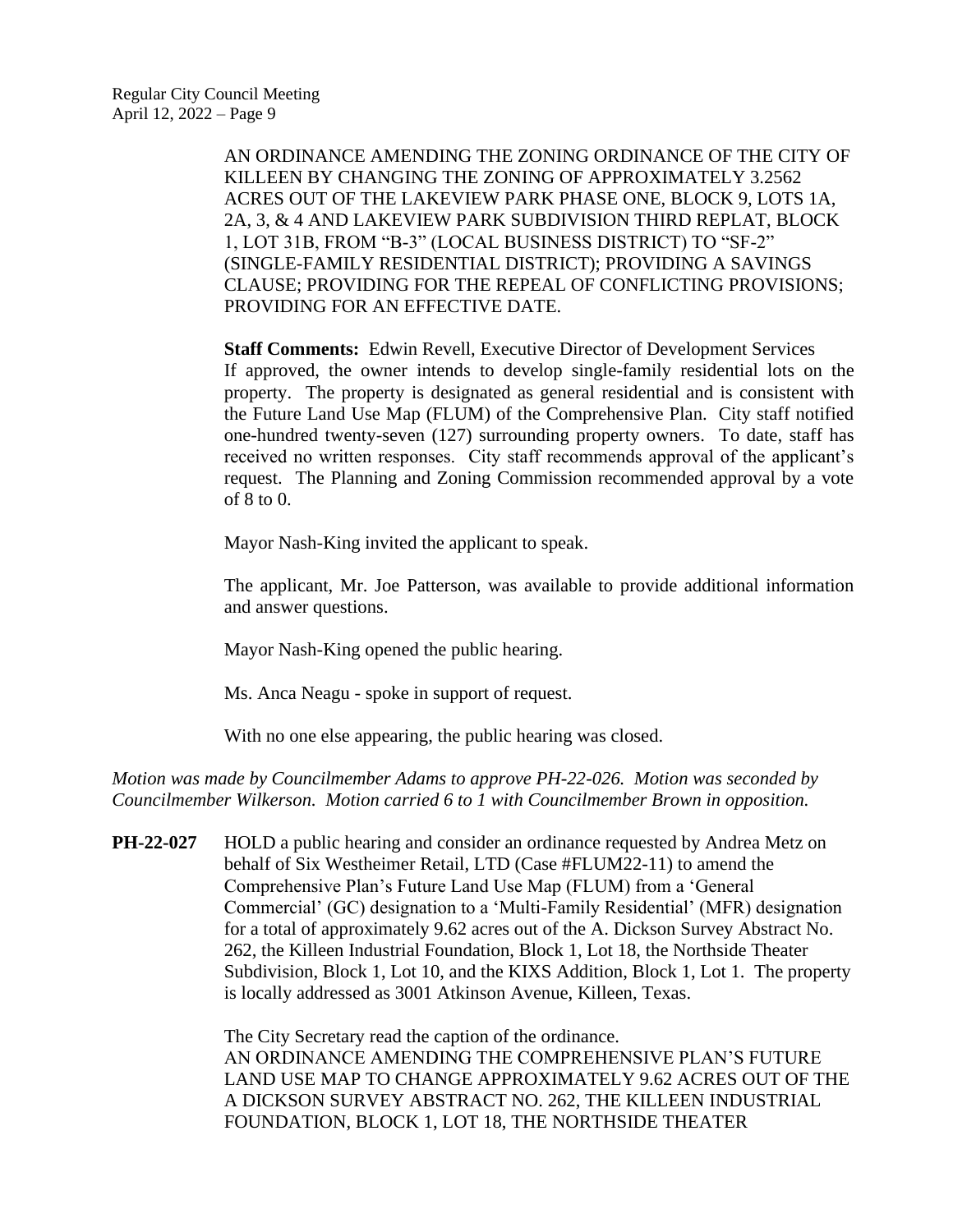AN ORDINANCE AMENDING THE ZONING ORDINANCE OF THE CITY OF KILLEEN BY CHANGING THE ZONING OF APPROXIMATELY 3.2562 ACRES OUT OF THE LAKEVIEW PARK PHASE ONE, BLOCK 9, LOTS 1A, 2A, 3, & 4 AND LAKEVIEW PARK SUBDIVISION THIRD REPLAT, BLOCK 1, LOT 31B, FROM "B-3" (LOCAL BUSINESS DISTRICT) TO "SF-2" (SINGLE-FAMILY RESIDENTIAL DISTRICT); PROVIDING A SAVINGS CLAUSE; PROVIDING FOR THE REPEAL OF CONFLICTING PROVISIONS; PROVIDING FOR AN EFFECTIVE DATE.

**Staff Comments:** Edwin Revell, Executive Director of Development Services If approved, the owner intends to develop single-family residential lots on the property. The property is designated as general residential and is consistent with the Future Land Use Map (FLUM) of the Comprehensive Plan. City staff notified one-hundred twenty-seven (127) surrounding property owners. To date, staff has received no written responses. City staff recommends approval of the applicant's request. The Planning and Zoning Commission recommended approval by a vote of 8 to 0.

Mayor Nash-King invited the applicant to speak.

The applicant, Mr. Joe Patterson, was available to provide additional information and answer questions.

Mayor Nash-King opened the public hearing.

Ms. Anca Neagu - spoke in support of request.

With no one else appearing, the public hearing was closed.

*Motion was made by Councilmember Adams to approve PH-22-026. Motion was seconded by Councilmember Wilkerson. Motion carried 6 to 1 with Councilmember Brown in opposition.*

**PH-22-027** HOLD a public hearing and consider an ordinance requested by Andrea Metz on behalf of Six Westheimer Retail, LTD (Case #FLUM22-11) to amend the Comprehensive Plan's Future Land Use Map (FLUM) from a 'General Commercial' (GC) designation to a 'Multi-Family Residential' (MFR) designation for a total of approximately 9.62 acres out of the A. Dickson Survey Abstract No. 262, the Killeen Industrial Foundation, Block 1, Lot 18, the Northside Theater Subdivision, Block 1, Lot 10, and the KIXS Addition, Block 1, Lot 1. The property is locally addressed as 3001 Atkinson Avenue, Killeen, Texas.

> The City Secretary read the caption of the ordinance. AN ORDINANCE AMENDING THE COMPREHENSIVE PLAN'S FUTURE LAND USE MAP TO CHANGE APPROXIMATELY 9.62 ACRES OUT OF THE A DICKSON SURVEY ABSTRACT NO. 262, THE KILLEEN INDUSTRIAL FOUNDATION, BLOCK 1, LOT 18, THE NORTHSIDE THEATER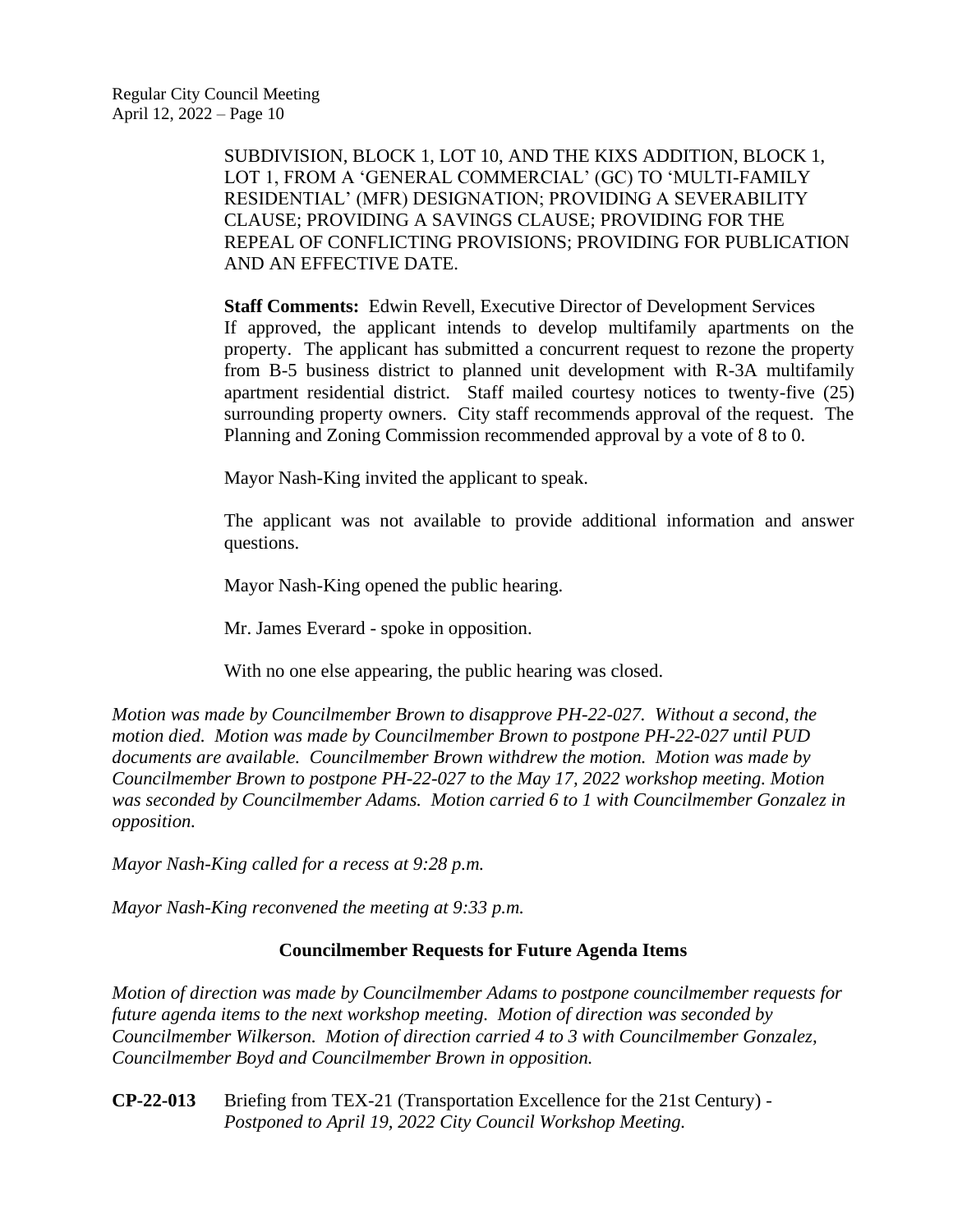SUBDIVISION, BLOCK 1, LOT 10, AND THE KIXS ADDITION, BLOCK 1, LOT 1, FROM A 'GENERAL COMMERCIAL' (GC) TO 'MULTI-FAMILY RESIDENTIAL' (MFR) DESIGNATION; PROVIDING A SEVERABILITY CLAUSE; PROVIDING A SAVINGS CLAUSE; PROVIDING FOR THE REPEAL OF CONFLICTING PROVISIONS; PROVIDING FOR PUBLICATION AND AN EFFECTIVE DATE.

**Staff Comments:** Edwin Revell, Executive Director of Development Services If approved, the applicant intends to develop multifamily apartments on the property. The applicant has submitted a concurrent request to rezone the property from B-5 business district to planned unit development with R-3A multifamily apartment residential district. Staff mailed courtesy notices to twenty-five (25) surrounding property owners. City staff recommends approval of the request. The Planning and Zoning Commission recommended approval by a vote of 8 to 0.

Mayor Nash-King invited the applicant to speak.

The applicant was not available to provide additional information and answer questions.

Mayor Nash-King opened the public hearing.

Mr. James Everard - spoke in opposition.

With no one else appearing, the public hearing was closed.

*Motion was made by Councilmember Brown to disapprove PH-22-027. Without a second, the motion died. Motion was made by Councilmember Brown to postpone PH-22-027 until PUD documents are available. Councilmember Brown withdrew the motion. Motion was made by Councilmember Brown to postpone PH-22-027 to the May 17, 2022 workshop meeting. Motion was seconded by Councilmember Adams. Motion carried 6 to 1 with Councilmember Gonzalez in opposition.*

*Mayor Nash-King called for a recess at 9:28 p.m.*

*Mayor Nash-King reconvened the meeting at 9:33 p.m.*

### **Councilmember Requests for Future Agenda Items**

*Motion of direction was made by Councilmember Adams to postpone councilmember requests for future agenda items to the next workshop meeting. Motion of direction was seconded by Councilmember Wilkerson. Motion of direction carried 4 to 3 with Councilmember Gonzalez, Councilmember Boyd and Councilmember Brown in opposition.*

**CP-22-013** Briefing from TEX-21 (Transportation Excellence for the 21st Century) - *Postponed to April 19, 2022 City Council Workshop Meeting.*